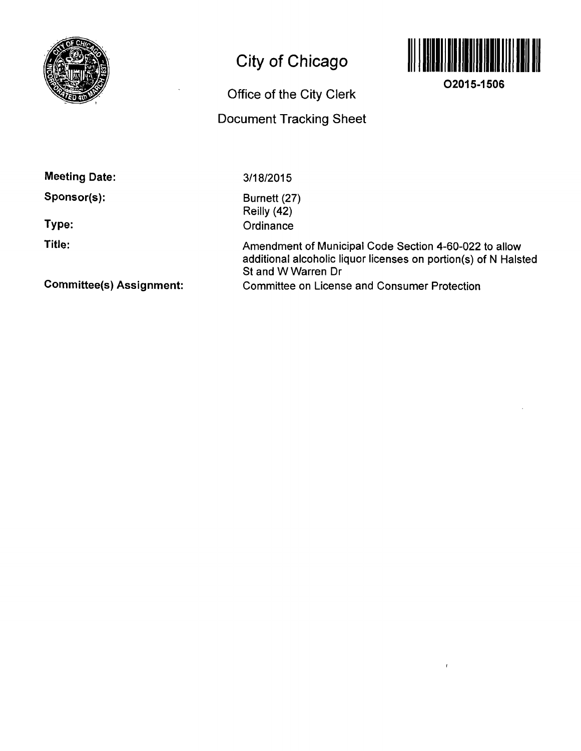

## **City of Chicago**

**Office of the City Clerk** 

**Document Tracking Sheet** 



**02015-1506** 

**Meeting Date:** 

**Sponsor(s):** 

**Type:** 

**Title:** 

3/18/2015

Burnett (27) Reilly (42) **Ordinance** 

Amendment of Municipal Code Section 4-60-022 to allow additional alcoholic liquor licenses on portion(s) of N Halsted St and W Warren Dr Committee on License and Consumer Protection

**Committee(s) Assignment:**